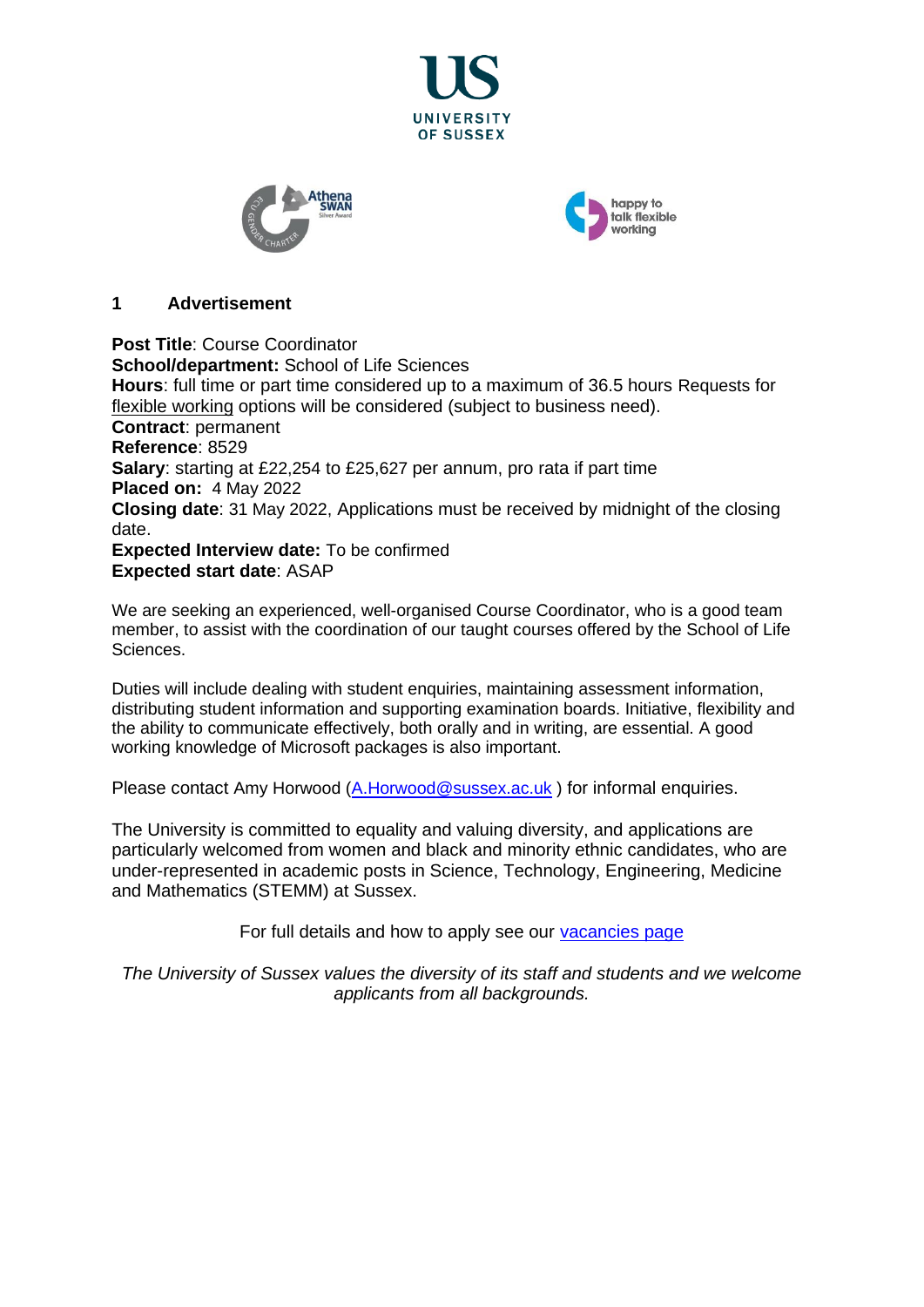





#### **1 Advertisement**

**Post Title**: Course Coordinator **School/department:** School of Life Sciences **Hours**: full time or part time considered up to a maximum of 36.5 hours Requests for [flexible working](http://www.sussex.ac.uk/humanresources/personnel/flexible-working) options will be considered (subject to business need). **Contract**: permanent **Reference**: 8529 **Salary**: starting at £22,254 to £25,627 per annum, pro rata if part time **Placed on:** 4 May 2022 **Closing date**: 31 May 2022, Applications must be received by midnight of the closing date. **Expected Interview date:** To be confirmed **Expected start date**: ASAP

We are seeking an experienced, well-organised Course Coordinator, who is a good team member, to assist with the coordination of our taught courses offered by the School of Life Sciences.

Duties will include dealing with student enquiries, maintaining assessment information, distributing student information and supporting examination boards. Initiative, flexibility and the ability to communicate effectively, both orally and in writing, are essential. A good working knowledge of Microsoft packages is also important.

Please contact Amy Horwood [\(A.Horwood@sussex.ac.uk](mailto:A.Horwood@sussex.ac.uk)) for informal enquiries.

The University is committed to equality and valuing diversity, and applications are particularly welcomed from women and black and minority ethnic candidates, who are under-represented in academic posts in Science, Technology, Engineering, Medicine and Mathematics (STEMM) at Sussex.

For full details and how to apply see our [vacancies page](http://www.sussex.ac.uk/about/jobs)

*The University of Sussex values the diversity of its staff and students and we welcome applicants from all backgrounds.*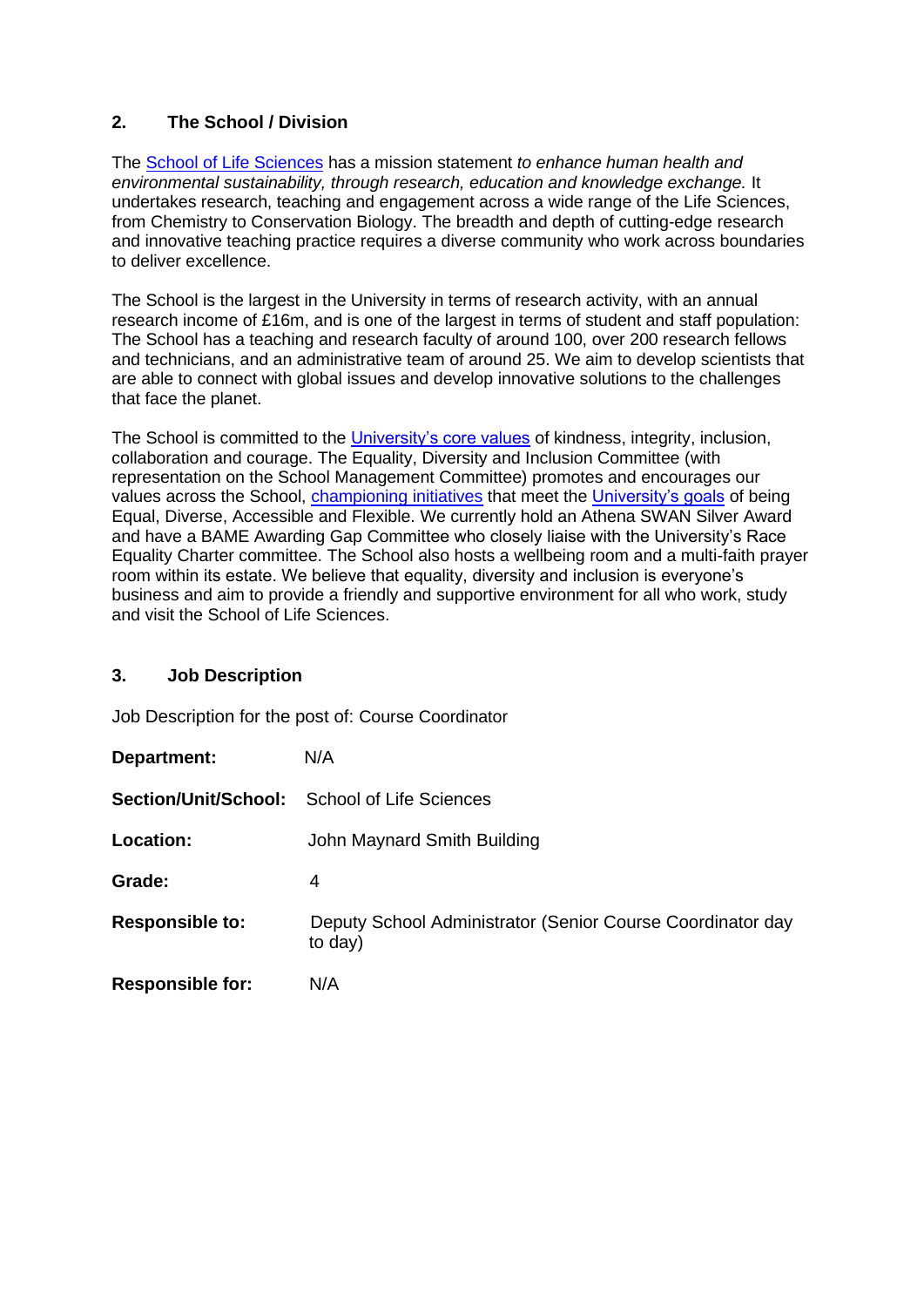# **2. The School / Division**

The [School of Life Sciences](http://www.sussex.ac.uk/lifesci/) has a mission statement *to enhance human health and environmental sustainability, through research, education and knowledge exchange.* It undertakes research, teaching and engagement across a wide range of the Life Sciences, from Chemistry to Conservation Biology. The breadth and depth of cutting-edge research and innovative teaching practice requires a diverse community who work across boundaries to deliver excellence.

The School is the largest in the University in terms of research activity, with an annual research income of £16m, and is one of the largest in terms of student and staff population: The School has a teaching and research faculty of around 100, over 200 research fellows and technicians, and an administrative team of around 25. We aim to develop scientists that are able to connect with global issues and develop innovative solutions to the challenges that face the planet.

The School is committed to the [University's core values](https://www.sussex.ac.uk/strategy/) of kindness, integrity, inclusion, collaboration and courage. The Equality, Diversity and Inclusion Committee (with representation on the School Management Committee) promotes and encourages our values across the School, [championing initiatives](http://www.sussex.ac.uk/lifesci/equality-diversity-and-inclusion/) that meet the [University's goals](https://www.sussex.ac.uk/equalities/strategy) of being Equal, Diverse, Accessible and Flexible. We currently hold an Athena SWAN Silver Award and have a BAME Awarding Gap Committee who closely liaise with the University's Race Equality Charter committee. The School also hosts a wellbeing room and a multi-faith prayer room within its estate. We believe that equality, diversity and inclusion is everyone's business and aim to provide a friendly and supportive environment for all who work, study and visit the School of Life Sciences.

# **3. Job Description**

Job Description for the post of: Course Coordinator

| Department:             | N/A                                                                   |
|-------------------------|-----------------------------------------------------------------------|
| Section/Unit/School:    | <b>School of Life Sciences</b>                                        |
| Location:               | John Maynard Smith Building                                           |
| Grade:                  | 4                                                                     |
| <b>Responsible to:</b>  | Deputy School Administrator (Senior Course Coordinator day<br>to day) |
| <b>Responsible for:</b> | N/A                                                                   |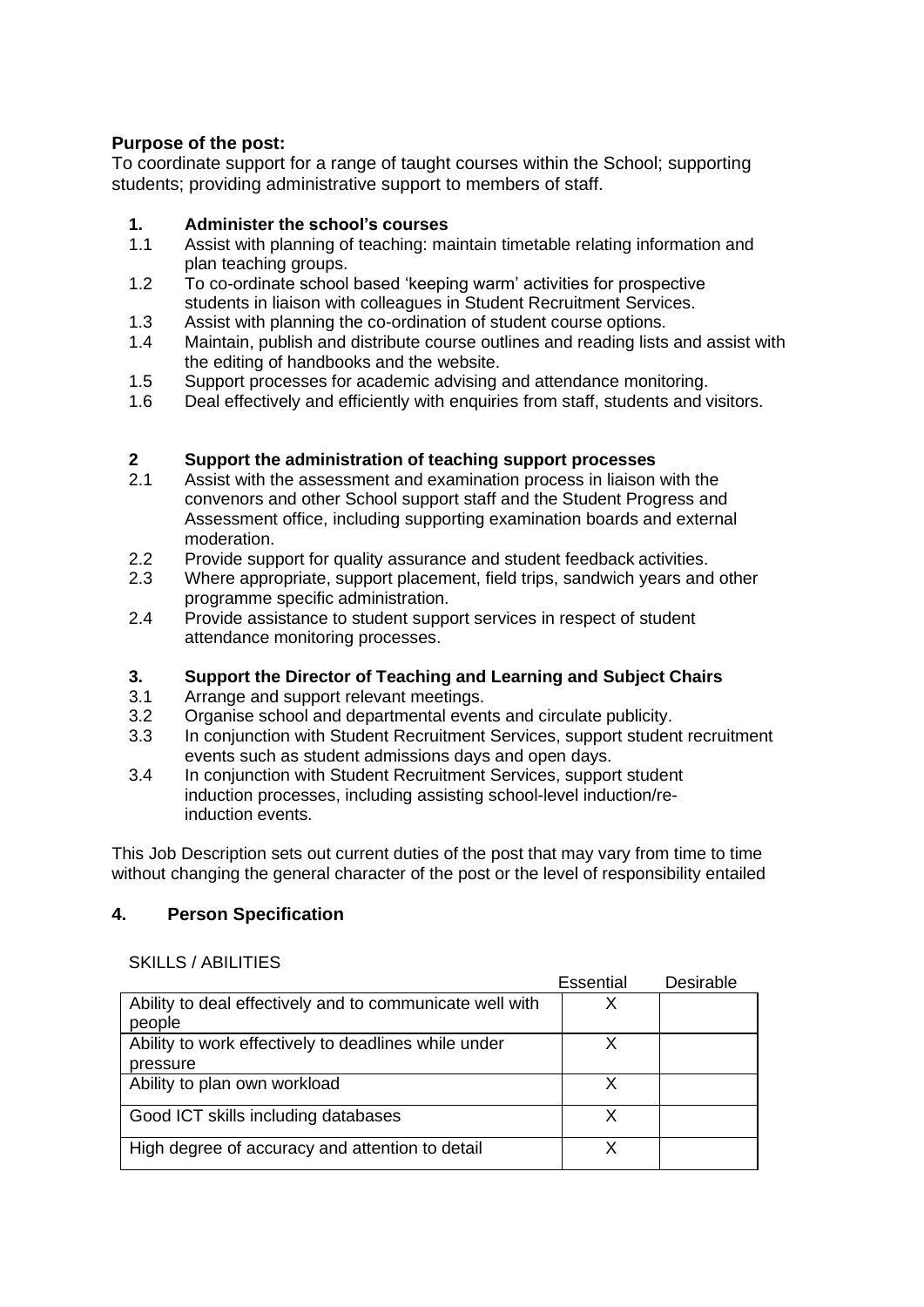# **Purpose of the post:**

To coordinate support for a range of taught courses within the School; supporting students; providing administrative support to members of staff.

#### **1. Administer the school's courses**

- 1.1 Assist with planning of teaching: maintain timetable relating information and plan teaching groups.
- 1.2 To co-ordinate school based 'keeping warm' activities for prospective students in liaison with colleagues in Student Recruitment Services.
- 1.3 Assist with planning the co-ordination of student course options.
- 1.4 Maintain, publish and distribute course outlines and reading lists and assist with the editing of handbooks and the website.
- 1.5 Support processes for academic advising and attendance monitoring.
- 1.6 Deal effectively and efficiently with enquiries from staff, students and visitors.

# **2 Support the administration of teaching support processes**

- Assist with the assessment and examination process in liaison with the convenors and other School support staff and the Student Progress and Assessment office, including supporting examination boards and external moderation.
- 2.2 Provide support for quality assurance and student feedback activities.
- 2.3 Where appropriate, support placement, field trips, sandwich years and other programme specific administration.
- 2.4 Provide assistance to student support services in respect of student attendance monitoring processes.

#### **3. Support the Director of Teaching and Learning and Subject Chairs**

- 3.1 Arrange and support relevant meetings.
- 3.2 Organise school and departmental events and circulate publicity.
- 3.3 In conjunction with Student Recruitment Services, support student recruitment events such as student admissions days and open days.
- 3.4 In conjunction with Student Recruitment Services, support student induction processes, including assisting school-level induction/reinduction events.

This Job Description sets out current duties of the post that may vary from time to time without changing the general character of the post or the level of responsibility entailed

# **4. Person Specification**

#### SKILLS / ABILITIES

|                                                          | Essential | Desirable |
|----------------------------------------------------------|-----------|-----------|
| Ability to deal effectively and to communicate well with | X         |           |
| people                                                   |           |           |
| Ability to work effectively to deadlines while under     | x         |           |
| pressure                                                 |           |           |
| Ability to plan own workload                             | x         |           |
| Good ICT skills including databases                      | X         |           |
| High degree of accuracy and attention to detail          | x         |           |